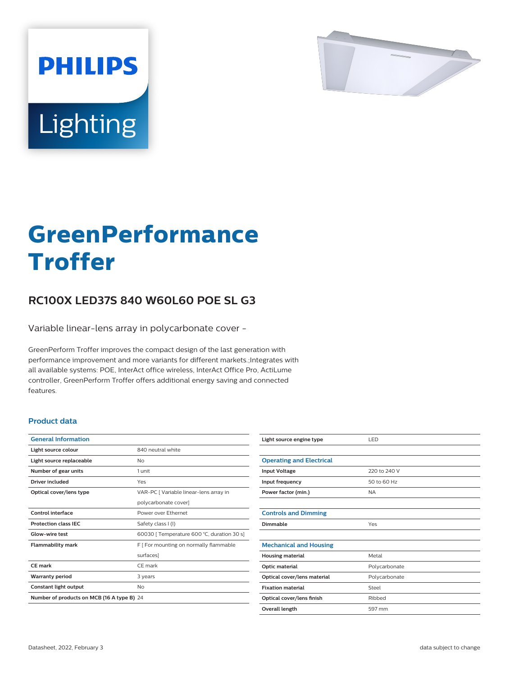

# Lighting

**PHILIPS** 

# **GreenPerformance Troffer**

# **RC100X LED37S 840 W60L60 POE SL G3**

Variable linear-lens array in polycarbonate cover -

GreenPerform Troffer improves the compact design of the last generation with performance improvement and more variants for different markets.;Integrates with all available systems: POE, InterAct office wireless, InterAct Office Pro, ActiLume controller, GreenPerform Troffer offers additional energy saving and connected features.

## **Product data**

| <b>General Information</b>                 |                                            |  |
|--------------------------------------------|--------------------------------------------|--|
| Light source colour                        | 840 neutral white                          |  |
| Light source replaceable                   | No                                         |  |
| Number of gear units                       | 1 unit                                     |  |
| Driver included                            | Yes                                        |  |
| Optical cover/lens type                    | VAR-PC [ Variable linear-lens array in     |  |
|                                            | polycarbonate cover]                       |  |
| <b>Control interface</b>                   | Power over Ethernet                        |  |
| <b>Protection class IFC</b>                | Safety class I (I)                         |  |
| Glow-wire test                             | 60030   Temperature 600 °C, duration 30 s] |  |
| <b>Flammability mark</b>                   | F [ For mounting on normally flammable     |  |
|                                            | surfaces]                                  |  |
| CF mark                                    | CF mark                                    |  |
| <b>Warranty period</b>                     | 3 years                                    |  |
| Constant light output                      | No                                         |  |
| Number of products on MCB (16 A type B) 24 |                                            |  |
|                                            |                                            |  |

| Light source engine type        | LED           |
|---------------------------------|---------------|
|                                 |               |
| <b>Operating and Electrical</b> |               |
| <b>Input Voltage</b>            | 220 to 240 V  |
| Input frequency                 | 50 to 60 Hz   |
| Power factor (min.)             | <b>NA</b>     |
|                                 |               |
| <b>Controls and Dimming</b>     |               |
| Dimmable                        | Yes           |
|                                 |               |
| <b>Mechanical and Housing</b>   |               |
| <b>Housing material</b>         | Metal         |
| Optic material                  | Polycarbonate |
| Optical cover/lens material     | Polycarbonate |
| <b>Fixation material</b>        | Steel         |
| Optical cover/lens finish       | Ribbed        |
| Overall length                  | 597 mm        |
|                                 |               |